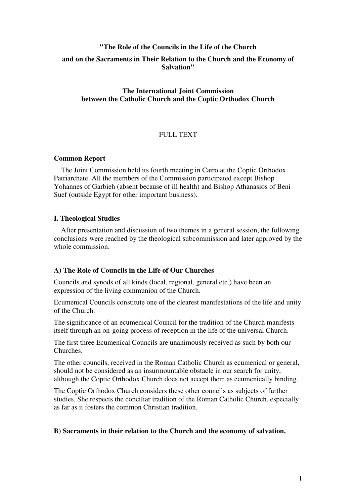# **"The Role of the Councils in the Life of the Church and on the Sacraments in Their Relation to the Church and the Economy of Salvation"**

# **The International Joint Commission between the Catholic Church and the Coptic Orthodox Church**

# FULL TEXT

## **Common Report**

 The Joint Commission held its fourth meeting in Cairo at the Coptic Orthodox Patriarchate. All the members of the Commission participated except Bishop Yohannes of Garbieh (absent because of ill health) and Bishop Athanasios of Beni Suef (outside Egypt for other important business).

# **I. Theological Studies**

 After presentation and discussion of two themes in a general session, the following conclusions were reached by the theological subcommission and later approved by the whole commission.

# **A) The Role of Councils in the Life of Our Churches**

Councils and synods of all kinds (local, regional, general etc.) have been an expression of the living communion of the Church.

Ecumenical Councils constitute one of the clearest manifestations of the life and unity of the Church.

The significance of an ecumenical Council for the tradition of the Church manifests itself through an on-going process of reception in the life of the universal Church.

The first three Ecumenical Councils are unanimously received as such by both our Churches.

The other councils, received in the Roman Catholic Church as ecumenical or general, should not be considered as an insurmountable obstacle in our search for unity, although the Coptic Orthodox Church does not accept them as ecumenically binding.

The Coptic Orthodox Church considers these other councils as subjects of further studies. She respects the conciliar tradition of the Roman Catholic Church, especially as far as it fosters the common Christian tradition.

## **B) Sacraments in their relation to the Church and the economy of salvation.**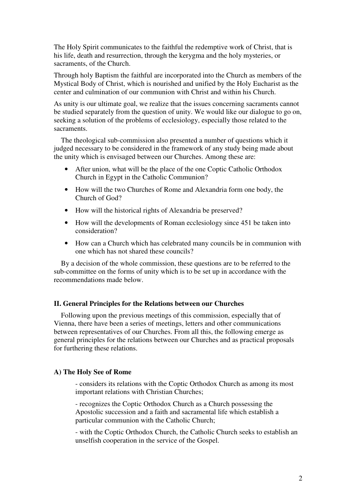The Holy Spirit communicates to the faithful the redemptive work of Christ, that is his life, death and resurrection, through the kerygma and the holy mysteries, or sacraments, of the Church.

Through holy Baptism the faithful are incorporated into the Church as members of the Mystical Body of Christ, which is nourished and unified by the Holy Eucharist as the center and culmination of our communion with Christ and within his Church.

As unity is our ultimate goal, we realize that the issues concerning sacraments cannot be studied separately from the question of unity. We would like our dialogue to go on, seeking a solution of the problems of ecclesiology, especially those related to the sacraments.

 The theological sub-commission also presented a number of questions which it judged necessary to be considered in the framework of any study being made about the unity which is envisaged between our Churches. Among these are:

- After union, what will be the place of the one Coptic Catholic Orthodox Church in Egypt in the Catholic Communion?
- How will the two Churches of Rome and Alexandria form one body, the Church of God?
- How will the historical rights of Alexandria be preserved?
- How will the developments of Roman ecclesiology since 451 be taken into consideration?
- How can a Church which has celebrated many councils be in communion with one which has not shared these councils?

 By a decision of the whole commission, these questions are to be referred to the sub-committee on the forms of unity which is to be set up in accordance with the recommendations made below.

#### **II. General Principles for the Relations between our Churches**

 Following upon the previous meetings of this commission, especially that of Vienna, there have been a series of meetings, letters and other communications between representatives of our Churches. From all this, the following emerge as general principles for the relations between our Churches and as practical proposals for furthering these relations.

#### **A) The Holy See of Rome**

- considers its relations with the Coptic Orthodox Church as among its most important relations with Christian Churches;

- recognizes the Coptic Orthodox Church as a Church possessing the Apostolic succession and a faith and sacramental life which establish a particular communion with the Catholic Church;

- with the Coptic Orthodox Church, the Catholic Church seeks to establish an unselfish cooperation in the service of the Gospel.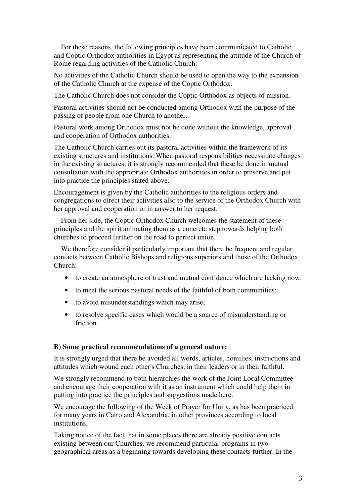For these reasons, the following principles have been communicated to Catholic and Coptic Orthodox authorities in Egypt as representing the attitude of the Church of Rome regarding activities of the Catholic Church:

No activities of the Catholic Church should be used to open the way to the expansion of the Catholic Church at the expense of the Coptic Orthodox.

The Catholic Church does not consider the Coptic Orthodox as objects of mission.

Pastoral activities should not be conducted among Orthodox with the purpose of the passing of people from one Church to another.

Pastoral work among Orthodox must not be done without the knowledge, approval and cooperation of Orthodox authorities.

The Catholic Church carries out its pastoral activities within the framework of its existing structures and institutions. When pastoral responsibilities necessitate changes in the existing structures, it is strongly recommended that these be done in mutual consultation with the appropriate Orthodox authorities in order to preserve and put into practice the principles stated above.

Encouragement is given by the Catholic authorities to the religious orders and congregations to direct their activities also to the service of the Orthodox Church with her approval and cooperation or in answer to her request.

 From her side, the Coptic Orthodox Church welcomes the statement of these principles and the spirit animating them as a concrete step towards helping both churches to proceed further on the road to perfect union.

 We therefore consider it particularly important that there be frequent and regular contacts between Catholic Bishops and religious superiors and those of the Orthodox Church:

- to create an atmosphere of trust and mutual confidence which are lacking now;
- to meet the serious pastoral needs of the faithful of both communities;
- to avoid misunderstandings which may arise;
- to resolve specific cases which would be a source of misunderstanding or friction.

## **B) Some practical recommendations of a general nature:**

It is strongly urged that there be avoided all words, articles, homilies, instructions and attitudes which wound each other's Churches, in their leaders or in their faithful.

We strongly recommend to both hierarchies the work of the Joint Local Committee and encourage their cooperation with it as an instrument which could help them in putting into practice the principles and suggestions made here.

We encourage the following of the Week of Prayer for Unity, as has been practiced for many years in Cairo and Alexandria, in other provinces according to local institutions.

Taking notice of the fact that in some places there are already positive contacts existing between our Churches, we recommend particular programs in two geographical areas as a beginning towards developing these contacts further. In the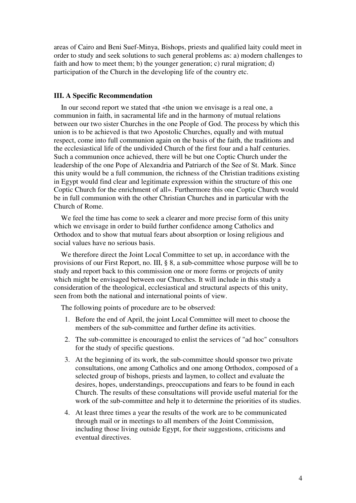areas of Cairo and Beni Suef-Minya, Bishops, priests and qualified laity could meet in order to study and seek solutions to such general problems as: a) modern challenges to faith and how to meet them; b) the younger generation; c) rural migration; d) participation of the Church in the developing life of the country etc.

#### **III. A Specific Recommendation**

 In our second report we stated that «the union we envisage is a real one, a communion in faith, in sacramental life and in the harmony of mutual relations between our two sister Churches in the one People of God. The process by which this union is to be achieved is that two Apostolic Churches, equally and with mutual respect, come into full communion again on the basis of the faith, the traditions and the ecclesiastical life of the undivided Church of the first four and a half centuries. Such a communion once achieved, there will be but one Coptic Church under the leadership of the one Pope of Alexandria and Patriarch of the See of St. Mark. Since this unity would be a full communion, the richness of the Christian traditions existing in Egypt would find clear and legitimate expression within the structure of this one Coptic Church for the enrichment of all». Furthermore this one Coptic Church would be in full communion with the other Christian Churches and in particular with the Church of Rome.

 We feel the time has come to seek a clearer and more precise form of this unity which we envisage in order to build further confidence among Catholics and Orthodox and to show that mutual fears about absorption or losing religious and social values have no serious basis.

 We therefore direct the Joint Local Committee to set up, in accordance with the provisions of our First Report, no. III, § 8, a sub-committee whose purpose will be to study and report back to this commission one or more forms or projects of unity which might be envisaged between our Churches. It will include in this study a consideration of the theological, ecclesiastical and structural aspects of this unity, seen from both the national and international points of view.

The following points of procedure are to be observed:

- 1. Before the end of April, the joint Local Committee will meet to choose the members of the sub-committee and further define its activities.
- 2. The sub-committee is encouraged to enlist the services of "ad hoc" consultors for the study of specific questions.
- 3. At the beginning of its work, the sub-committee should sponsor two private consultations, one among Catholics and one among Orthodox, composed of a selected group of bishops, priests and laymen, to collect and evaluate the desires, hopes, understandings, preoccupations and fears to be found in each Church. The results of these consultations will provide useful material for the work of the sub-committee and help it to determine the priorities of its studies.
- 4. At least three times a year the results of the work are to be communicated through mail or in meetings to all members of the Joint Commission, including those living outside Egypt, for their suggestions, criticisms and eventual directives.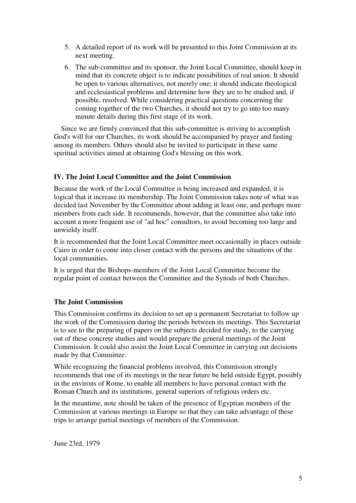- 5. A detailed report of its work will be presented to this Joint Commission at its next meeting.
- 6. The sub-committee and its sponsor, the Joint Local Committee, should keep in mind that its concrete object is to indicate possibilities of real union. It should be open to various alternatives, not merely one; it should indicate theological and ecclesiastical problems and determine how they are to be studied and, if possible, resolved. While considering practical questions concerning the coming together of the two Churches, it should not try to go into too many minute details during this first stage of its work.

 Since we are firmly convinced that this sub-committee is striving to accomplish God's will for our Churches, its work should be accompanied by prayer and fasting among its members. Others should also be invited to participate in these same spiritual activities aimed at obtaining God's blessing on this work.

# **IV. The Joint Local Committee and the Joint Commission**

Because the work of the Local Committee is being increased and expanded, it is logical that it increase its membership. The Joint Commission takes note of what was decided last November by the Committee about adding at least one, and perhaps more members from each side. It recommends, however, that the committee also take into account a more frequent use of "ad hoc" consultors, to avoid becoming too large and unwieldy itself.

It is recommended that the Joint Local Committee meet occasionally in places outside Cairo in order to come into closer contact with the persons and the situations of the local communities.

It is urged that the Bishops-members of the Joint Local Committee become the regular point of contact between the Committee and the Synods of both Churches.

## **The Joint Commission**

This Commission confirms its decision to set up a permanent Secretariat to follow up the work of the Commission during the periods between its meetings. This Secretariat is to see to the preparing of papers on the subjects decided for study, to the carrying out of these concrete studies and would prepare the general meetings of the Joint Commission. It could also assist the Joint Local Committee in carrying out decisions made by that Committee.

While recognizing the financial problems involved, this Commission strongly recommends that one of its meetings in the near future be held outside Egypt, possibly in the environs of Rome, to enable all members to have personal contact with the Roman Church and its institutions, general superiors of religious orders etc.

In the meantime, note should be taken of the presence of Egyptian members of the Commission at various meetings in Europe so that they can take advantage of these trips to arrange partial meetings of members of the Commission.

June 23rd, 1979